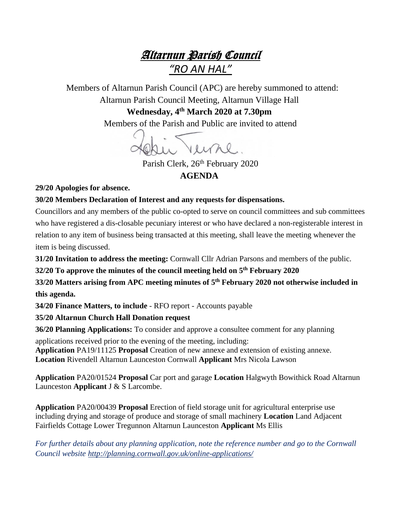## Altarnun Parish Council *"RO AN HAL"*

 Members of Altarnun Parish Council (APC) are hereby summoned to attend: Altarnun Parish Council Meeting, Altarnun Village Hall

> **Wednesday, 4 th March 2020 at 7.30pm** Members of the Parish and Public are invited to attend

Parish Clerk, 26<sup>th</sup> February 2020 **AGENDA**

**29/20 Apologies for absence.**

## **30/20 Members Declaration of Interest and any requests for dispensations.**

Councillors and any members of the public co-opted to serve on council committees and sub committees who have registered a dis-closable pecuniary interest or who have declared a non-registerable interest in relation to any item of business being transacted at this meeting, shall leave the meeting whenever the item is being discussed.

**31/20 Invitation to address the meeting:** Cornwall Cllr Adrian Parsons and members of the public.

**32/20 To approve the minutes of the council meeting held on 5 th February 2020**

**33/20 Matters arising from APC meeting minutes of 5 th February 2020 not otherwise included in this agenda.**

**34/20 Finance Matters, to include** - RFO report - Accounts payable

**35/20 Altarnun Church Hall Donation request**

**36/20 Planning Applications:** To consider and approve a consultee comment for any planning

applications received prior to the evening of the meeting, including: **Application** PA19/11125 **Proposal** Creation of new annexe and extension of existing annexe. **Location** Rivendell Altarnun Launceston Cornwall **Applicant** Mrs Nicola Lawson

**Application** PA20/01524 **Proposal** Car port and garage **Location** Halgwyth Bowithick Road Altarnun Launceston **Applicant** J & S Larcombe.

**Application** PA20/00439 **Proposal** Erection of field storage unit for agricultural enterprise use including drying and storage of produce and storage of small machinery **Location** Land Adjacent Fairfields Cottage Lower Tregunnon Altarnun Launceston **Applicant** Ms Ellis

*For further details about any planning application, note the reference number and go to the Cornwall Council website <http://planning.cornwall.gov.uk/online-applications/>*